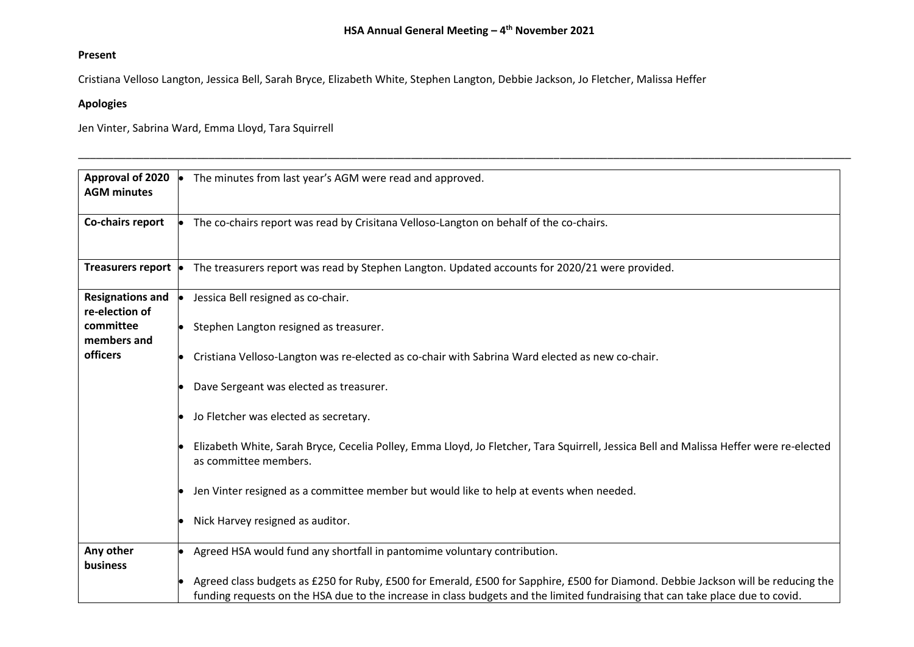\_\_\_\_\_\_\_\_\_\_\_\_\_\_\_\_\_\_\_\_\_\_\_\_\_\_\_\_\_\_\_\_\_\_\_\_\_\_\_\_\_\_\_\_\_\_\_\_\_\_\_\_\_\_\_\_\_\_\_\_\_\_\_\_\_\_\_\_\_\_\_\_\_\_\_\_\_\_\_\_\_\_\_\_\_\_\_\_\_\_\_\_\_\_\_\_\_\_\_\_\_\_\_\_\_\_\_\_\_\_\_\_\_\_\_\_\_\_\_\_\_\_\_\_\_\_\_\_\_\_

## **Present**

Cristiana Velloso Langton, Jessica Bell, Sarah Bryce, Elizabeth White, Stephen Langton, Debbie Jackson, Jo Fletcher, Malissa Heffer

## **Apologies**

Jen Vinter, Sabrina Ward, Emma Lloyd, Tara Squirrell

| Approval of 2020<br><b>AGM minutes</b>    | The minutes from last year's AGM were read and approved.                                                                                                                                                                                                            |
|-------------------------------------------|---------------------------------------------------------------------------------------------------------------------------------------------------------------------------------------------------------------------------------------------------------------------|
| Co-chairs report                          | The co-chairs report was read by Crisitana Velloso-Langton on behalf of the co-chairs.                                                                                                                                                                              |
| Treasurers report •                       | The treasurers report was read by Stephen Langton. Updated accounts for 2020/21 were provided.                                                                                                                                                                      |
| <b>Resignations and</b><br>re-election of | Jessica Bell resigned as co-chair.                                                                                                                                                                                                                                  |
| committee<br>members and                  | Stephen Langton resigned as treasurer.                                                                                                                                                                                                                              |
| officers                                  | Cristiana Velloso-Langton was re-elected as co-chair with Sabrina Ward elected as new co-chair.                                                                                                                                                                     |
|                                           | Dave Sergeant was elected as treasurer.                                                                                                                                                                                                                             |
|                                           | Jo Fletcher was elected as secretary.                                                                                                                                                                                                                               |
|                                           | Elizabeth White, Sarah Bryce, Cecelia Polley, Emma Lloyd, Jo Fletcher, Tara Squirrell, Jessica Bell and Malissa Heffer were re-elected<br>as committee members.                                                                                                     |
|                                           | Jen Vinter resigned as a committee member but would like to help at events when needed.                                                                                                                                                                             |
|                                           | Nick Harvey resigned as auditor.                                                                                                                                                                                                                                    |
| Any other<br>business                     | Agreed HSA would fund any shortfall in pantomime voluntary contribution.                                                                                                                                                                                            |
|                                           | Agreed class budgets as £250 for Ruby, £500 for Emerald, £500 for Sapphire, £500 for Diamond. Debbie Jackson will be reducing the<br>funding requests on the HSA due to the increase in class budgets and the limited fundraising that can take place due to covid. |